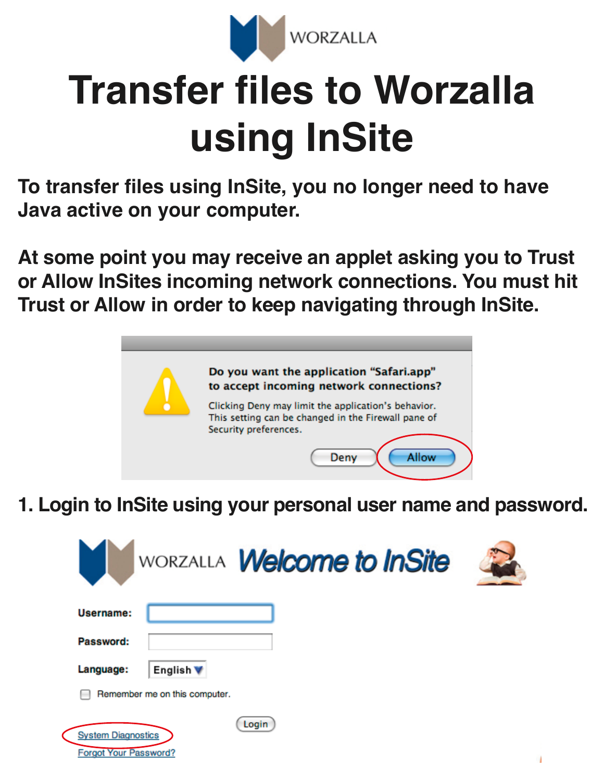

## **Transfer files to Worzalla using InSite**

**To transfer files using InSite, you no longer need to have Java active on your computer.** 

**At some point you may receive an applet asking you to Trust or Allow InSites incoming network connections. You must hit Trust or Allow in order to keep navigating through InSite.**



**1. Login to InSite using your personal user name and password.**

| WORZALLA Welcome to InSite                                         |  |
|--------------------------------------------------------------------|--|
| Username:                                                          |  |
| Password:                                                          |  |
| Language:<br>English V                                             |  |
| Remember me on this computer.                                      |  |
| Login<br><b>System Diagnostics</b><br><b>Forgot Your Password?</b> |  |